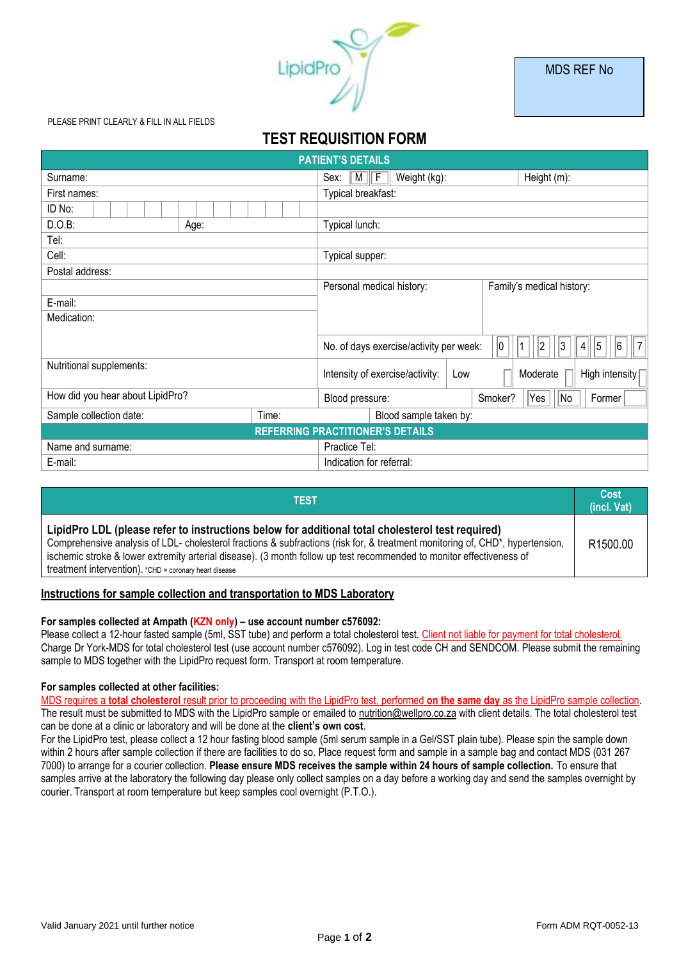

#### PLEASE PRINT CLEARLY & FILL IN ALL FIELDS

# **TEST REQUISITION FORM**

| <b>PATIENT'S DETAILS</b>                |                                                           |                                         |         |                                 |  |  |  |  |  |
|-----------------------------------------|-----------------------------------------------------------|-----------------------------------------|---------|---------------------------------|--|--|--|--|--|
| Surname:                                | Weight (kg):<br>Sex:<br>$\parallel$ M $\parallel$<br>   F | Height (m):                             |         |                                 |  |  |  |  |  |
| First names:                            | Typical breakfast:                                        |                                         |         |                                 |  |  |  |  |  |
| ID No:                                  |                                                           |                                         |         |                                 |  |  |  |  |  |
| D.O.B:<br>Age:                          | Typical lunch:                                            |                                         |         |                                 |  |  |  |  |  |
| Tel:                                    |                                                           |                                         |         |                                 |  |  |  |  |  |
| Cell:                                   |                                                           | Typical supper:                         |         |                                 |  |  |  |  |  |
| Postal address:                         |                                                           |                                         |         |                                 |  |  |  |  |  |
|                                         | Personal medical history:                                 | Family's medical history:               |         |                                 |  |  |  |  |  |
| E-mail:                                 |                                                           |                                         |         |                                 |  |  |  |  |  |
| Medication:                             |                                                           |                                         |         |                                 |  |  |  |  |  |
|                                         |                                                           |                                         |         |                                 |  |  |  |  |  |
|                                         |                                                           | No. of days exercise/activity per week: | 10      | 7 <br>5<br> 2<br> 6<br> 3<br> 4 |  |  |  |  |  |
| Nutritional supplements:                |                                                           | Intensity of exercise/activity:         | Low     | High intensity [<br>Moderate    |  |  |  |  |  |
| How did you hear about LipidPro?        |                                                           | Blood pressure:                         | Smoker? | Yes <br> No<br>Former           |  |  |  |  |  |
| Sample collection date:                 | Time:                                                     | Blood sample taken by:                  |         |                                 |  |  |  |  |  |
| <b>REFERRING PRACTITIONER'S DETAILS</b> |                                                           |                                         |         |                                 |  |  |  |  |  |
| Name and surname:                       |                                                           | Practice Tel:                           |         |                                 |  |  |  |  |  |
| E-mail:                                 |                                                           | Indication for referral:                |         |                                 |  |  |  |  |  |

| TEST                                                                                                                                                                                                                                                                                                                                                                                                                |                      |  |
|---------------------------------------------------------------------------------------------------------------------------------------------------------------------------------------------------------------------------------------------------------------------------------------------------------------------------------------------------------------------------------------------------------------------|----------------------|--|
| LipidPro LDL (please refer to instructions below for additional total cholesterol test required)<br>Comprehensive analysis of LDL- cholesterol fractions & subfractions (risk for, & treatment monitoring of, CHD*, hypertension,<br>ischemic stroke & lower extremity arterial disease). (3 month follow up test recommended to monitor effectiveness of<br>treatment intervention). *CHD = coronary heart disease | R <sub>1500.00</sub> |  |

# **Instructions for sample collection and transportation to MDS Laboratory**

#### **For samples collected at Ampath (KZN only) – use account number c576092:**

Please collect a 12-hour fasted sample (5ml, SST tube) and perform a total cholesterol test. Client not liable for payment for total cholesterol. Charge Dr York-MDS for total cholesterol test (use account number c576092). Log in test code CH and SENDCOM. Please submit the remaining sample to MDS together with the LipidPro request form. Transport at room temperature.

#### **For samples collected at other facilities:**

MDS requires a **total cholesterol** result prior to proceeding with the LipidPro test, performed **on the same day** as the LipidPro sample collection. The result must be submitted to MDS with the LipidPro sample or emailed to nutrition@wellpro.co.za with client details. The total cholesterol test can be done at a clinic or laboratory and will be done at the **client's own cost**.

For the LipidPro test, please collect a 12 hour fasting blood sample (5ml serum sample in a Gel/SST plain tube). Please spin the sample down within 2 hours after sample collection if there are facilities to do so. Place request form and sample in a sample bag and contact MDS (031 267 7000) to arrange for a courier collection. **Please ensure MDS receives the sample within 24 hours of sample collection.** To ensure that samples arrive at the laboratory the following day please only collect samples on a day before a working day and send the samples overnight by courier. Transport at room temperature but keep samples cool overnight (P.T.O.).